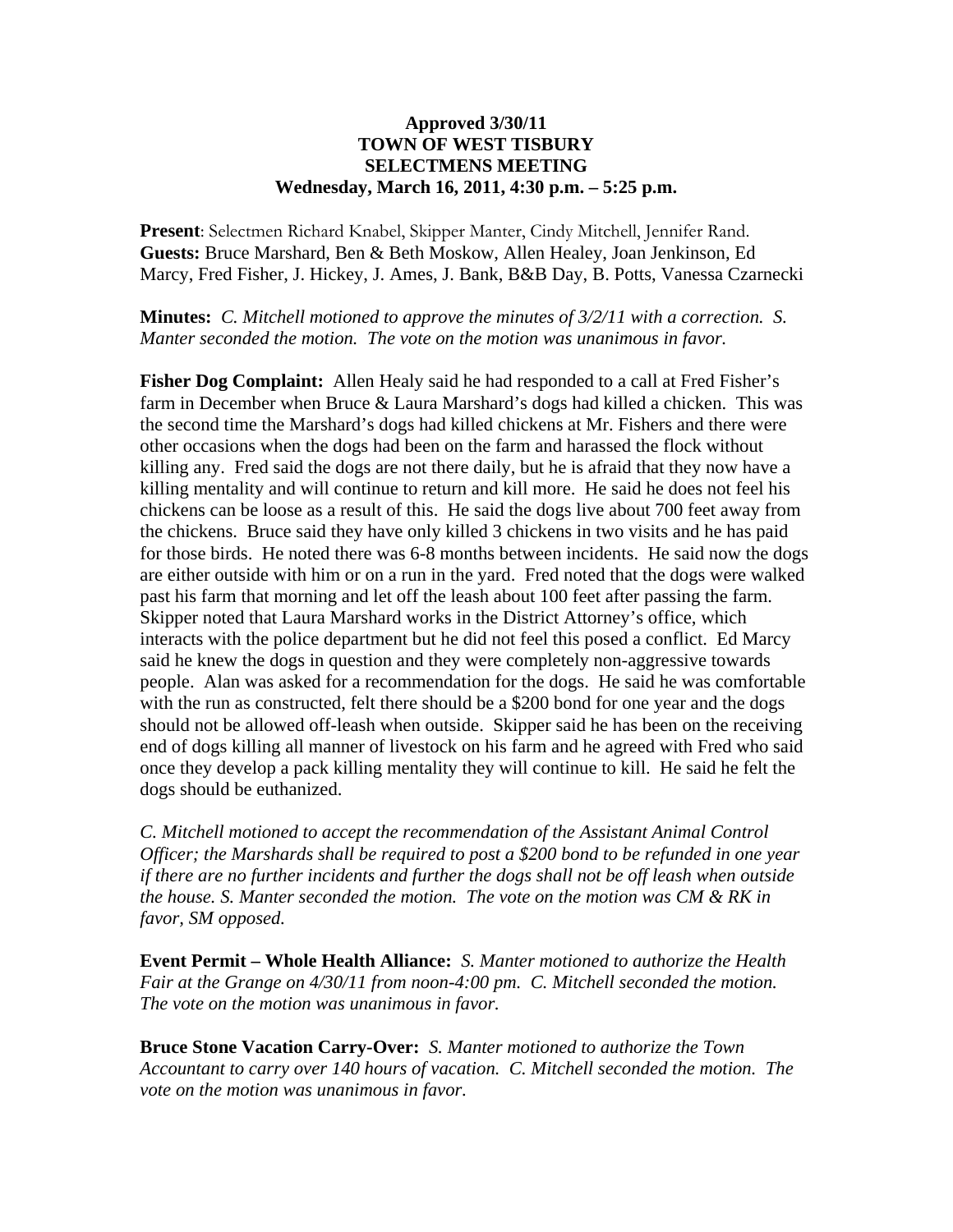## **Approved 3/30/11 TOWN OF WEST TISBURY SELECTMENS MEETING Wednesday, March 16, 2011, 4:30 p.m. – 5:25 p.m.**

**Present**: Selectmen Richard Knabel, Skipper Manter, Cindy Mitchell, Jennifer Rand. **Guests:** Bruce Marshard, Ben & Beth Moskow, Allen Healey, Joan Jenkinson, Ed Marcy, Fred Fisher, J. Hickey, J. Ames, J. Bank, B&B Day, B. Potts, Vanessa Czarnecki

**Minutes:** *C. Mitchell motioned to approve the minutes of 3/2/11 with a correction. S. Manter seconded the motion. The vote on the motion was unanimous in favor.* 

**Fisher Dog Complaint:** Allen Healy said he had responded to a call at Fred Fisher's farm in December when Bruce & Laura Marshard's dogs had killed a chicken. This was the second time the Marshard's dogs had killed chickens at Mr. Fishers and there were other occasions when the dogs had been on the farm and harassed the flock without killing any. Fred said the dogs are not there daily, but he is afraid that they now have a killing mentality and will continue to return and kill more. He said he does not feel his chickens can be loose as a result of this. He said the dogs live about 700 feet away from the chickens. Bruce said they have only killed 3 chickens in two visits and he has paid for those birds. He noted there was 6-8 months between incidents. He said now the dogs are either outside with him or on a run in the yard. Fred noted that the dogs were walked past his farm that morning and let off the leash about 100 feet after passing the farm. Skipper noted that Laura Marshard works in the District Attorney's office, which interacts with the police department but he did not feel this posed a conflict. Ed Marcy said he knew the dogs in question and they were completely non-aggressive towards people. Alan was asked for a recommendation for the dogs. He said he was comfortable with the run as constructed, felt there should be a \$200 bond for one year and the dogs should not be allowed off-leash when outside. Skipper said he has been on the receiving end of dogs killing all manner of livestock on his farm and he agreed with Fred who said once they develop a pack killing mentality they will continue to kill. He said he felt the dogs should be euthanized.

*C. Mitchell motioned to accept the recommendation of the Assistant Animal Control Officer; the Marshards shall be required to post a \$200 bond to be refunded in one year if there are no further incidents and further the dogs shall not be off leash when outside the house. S. Manter seconded the motion. The vote on the motion was CM & RK in favor, SM opposed.*

**Event Permit – Whole Health Alliance:** *S. Manter motioned to authorize the Health Fair at the Grange on 4/30/11 from noon-4:00 pm. C. Mitchell seconded the motion. The vote on the motion was unanimous in favor.*

**Bruce Stone Vacation Carry-Over:** *S. Manter motioned to authorize the Town Accountant to carry over 140 hours of vacation. C. Mitchell seconded the motion. The vote on the motion was unanimous in favor.*